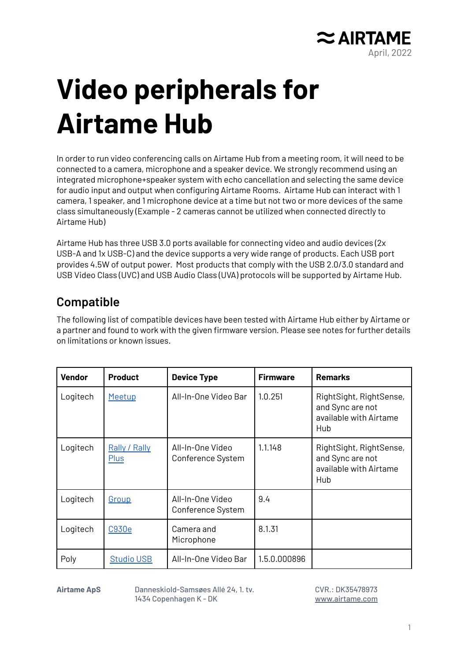

## **Video peripherals for Airtame Hub**

In order to run video conferencing calls on Airtame Hub from a meeting room, it will need to be connected to a camera, microphone and a speaker device. We strongly recommend using an integrated microphone+speaker system with echo cancellation and selecting the same device for audio input and output when configuring Airtame Rooms. Airtame Hub can interact with 1 camera, 1 speaker, and 1 microphone device at a time but not two or more devices of the same class simultaneously (Example - 2 cameras cannot be utilized when connected directly to Airtame Hub)

Airtame Hub has three USB 3.0 ports available for connecting video and audio devices (2x USB-A and 1x USB-C) and the device supports a very wide range of products. Each USB port provides 4.5W of output power. Most products that comply with the USB 2.0/3.0 standard and USB Video Class (UVC) and USB Audio Class (UVA) protocols will be supported by Airtame Hub.

## **Compatible**

The following list of compatible devices have been tested with Airtame Hub either by Airtame or a partner and found to work with the given firmware version. Please see notes for further details on limitations or known issues.

| <b>Vendor</b> | <b>Product</b>                      | <b>Device Type</b>                    | <b>Firmware</b> | <b>Remarks</b>                                                               |
|---------------|-------------------------------------|---------------------------------------|-----------------|------------------------------------------------------------------------------|
| Logitech      | Meetup                              | All-In-One Video Bar                  | 1.0.251         | RightSight, RightSense,<br>and Sync are not<br>available with Airtame<br>Hub |
| Logitech      | <b>Rally / Rally</b><br><b>Plus</b> | All-In-One Video<br>Conference System | 1.1.148         | RightSight, RightSense,<br>and Sync are not<br>available with Airtame<br>Hub |
| Logitech      | <u>Group</u>                        | All-In-One Video<br>Conference System | 9.4             |                                                                              |
| Logitech      | C930e                               | Camera and<br>Microphone              | 8.1.31          |                                                                              |
| Poly          | <b>Studio USB</b>                   | All-In-One Video Bar                  | 1.5.0.000896    |                                                                              |

**Airtame ApS** Danneskiold-Samsøes Allé 24, 1. tv. 1434 Copenhagen K - DK

CVR.: DK35478973 [www.airtame.com](http://www.airtame.com)